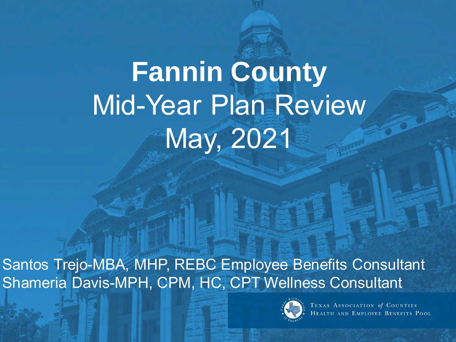## **Fannin County**  Mid-Year Plan Review May, 2021

Santos Trejo-MBA, MHP, REBC Employee Benefits Consultant Shameria Davis-MPH, CPM, HC, CPT Wellness Consultant



TEXAS ASSOCIATION of COUNTIES<br>HEALTH AND EMPLOYEE BENEFITS POOL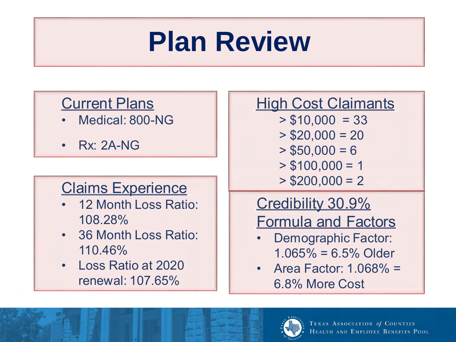### **Plan Review**

#### Current Plans

- Medical: 800-NG
- Rx: 2A-NG

#### Claims Experience

- 12 Month Loss Ratio: 108.28%
- 36 Month Loss Ratio: 110.46%
- Loss Ratio at 2020 renewal: 107.65%

#### **High Cost Claimants**

- $> $10,000 = 33$
- $>$  \$20,000 = 20
- $>$  \$50,000 = 6
- $> $100,000 = 1$
- $>$  \$200,000 = 2

#### Credibility 30.9% Formula and Factors

- Demographic Factor:  $1.065\% = 6.5\%$  Older
- Area Factor: 1.068% = 6.8% More Cost

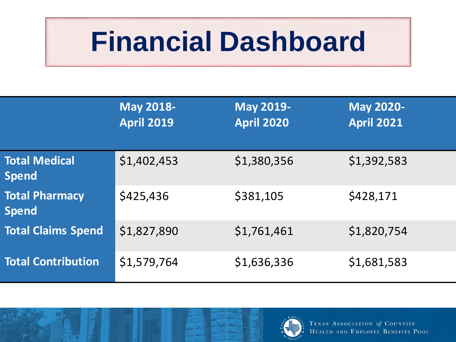### **Financial Dashboard**

|                                       | <b>May 2018-</b><br><b>April 2019</b> | <b>May 2019-</b><br><b>April 2020</b> | <b>May 2020-</b><br><b>April 2021</b> |
|---------------------------------------|---------------------------------------|---------------------------------------|---------------------------------------|
| <b>Total Medical</b><br><b>Spend</b>  | \$1,402,453                           | \$1,380,356                           | \$1,392,583                           |
| <b>Total Pharmacy</b><br><b>Spend</b> | \$425,436                             | \$381,105                             | \$428,171                             |
| <b>Total Claims Spend</b>             | \$1,827,890                           | \$1,761,461                           | \$1,820,754                           |
| <b>Total Contribution</b>             | \$1,579,764                           | \$1,636,336                           | \$1,681,583                           |

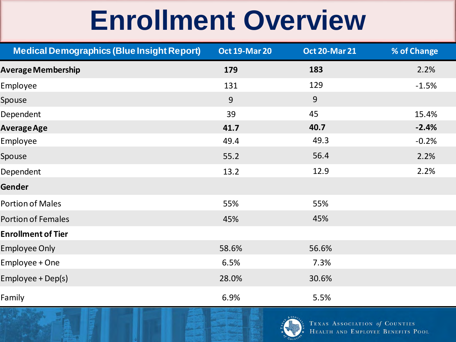### **Enrollment Overview**

| <b>Medical Demographics (Blue Insight Report)</b> | <b>Oct 19-Mar 20</b> | <b>Oct 20-Mar 21</b> | % of Change |
|---------------------------------------------------|----------------------|----------------------|-------------|
| <b>Average Membership</b>                         | 179                  | 183                  | 2.2%        |
| Employee                                          | 131                  | 129                  | $-1.5%$     |
| Spouse                                            | 9                    | 9                    |             |
| Dependent                                         | 39                   | 45                   | 15.4%       |
| <b>Average Age</b>                                | 41.7                 | 40.7                 | $-2.4%$     |
| Employee                                          | 49.4                 | 49.3                 | $-0.2%$     |
| Spouse                                            | 55.2                 | 56.4                 | 2.2%        |
| Dependent                                         | 13.2                 | 12.9                 | 2.2%        |
| Gender                                            |                      |                      |             |
| <b>Portion of Males</b>                           | 55%                  | 55%                  |             |
| <b>Portion of Females</b>                         | 45%                  | 45%                  |             |
| <b>Enrollment of Tier</b>                         |                      |                      |             |
| <b>Employee Only</b>                              | 58.6%                | 56.6%                |             |
| Employee + One                                    | 6.5%                 | 7.3%                 |             |
| Employee + Dep(s)                                 | 28.0%                | 30.6%                |             |
| Family                                            | 6.9%                 | 5.5%                 |             |

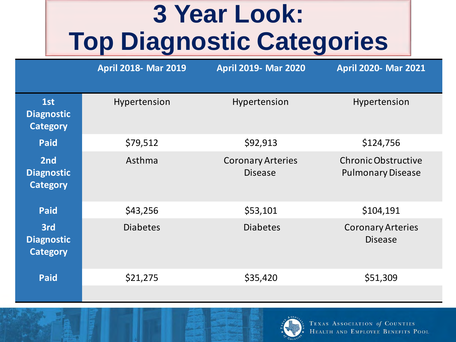#### **3 Year Look: Top Diagnostic Categories**

|                                             | <b>April 2018- Mar 2019</b> | <b>April 2019- Mar 2020</b>                | <b>April 2020- Mar 2021</b>                     |
|---------------------------------------------|-----------------------------|--------------------------------------------|-------------------------------------------------|
| 1st<br><b>Diagnostic</b><br><b>Category</b> | Hypertension                | Hypertension                               | Hypertension                                    |
| <b>Paid</b>                                 | \$79,512                    | \$92,913                                   | \$124,756                                       |
| 2nd<br><b>Diagnostic</b><br><b>Category</b> | Asthma                      | <b>Coronary Arteries</b><br><b>Disease</b> | Chronic Obstructive<br><b>Pulmonary Disease</b> |
| <b>Paid</b>                                 | \$43,256                    | \$53,101                                   | \$104,191                                       |
| 3rd<br><b>Diagnostic</b><br><b>Category</b> | <b>Diabetes</b>             | <b>Diabetes</b>                            | <b>Coronary Arteries</b><br><b>Disease</b>      |
| <b>Paid</b>                                 | \$21,275                    | \$35,420                                   | \$51,309                                        |
|                                             |                             |                                            |                                                 |

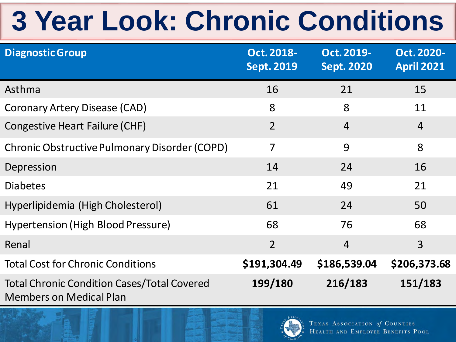## **3 Year Look: Chronic Conditions**

| <b>Diagnostic Group</b>                                                              | Oct. 2018-<br><b>Sept. 2019</b> | Oct. 2019-<br><b>Sept. 2020</b> | Oct. 2020-<br><b>April 2021</b> |
|--------------------------------------------------------------------------------------|---------------------------------|---------------------------------|---------------------------------|
| Asthma                                                                               | 16                              | 21                              | 15                              |
| <b>Coronary Artery Disease (CAD)</b>                                                 | 8                               | 8                               | 11                              |
| Congestive Heart Failure (CHF)                                                       | $\overline{2}$                  | $\overline{4}$                  | $\overline{4}$                  |
| Chronic Obstructive Pulmonary Disorder (COPD)                                        | $\overline{7}$                  | 9                               | 8                               |
| Depression                                                                           | 14                              | 24                              | 16                              |
| <b>Diabetes</b>                                                                      | 21                              | 49                              | 21                              |
| Hyperlipidemia (High Cholesterol)                                                    | 61                              | 24                              | 50                              |
| Hypertension (High Blood Pressure)                                                   | 68                              | 76                              | 68                              |
| Renal                                                                                | $\overline{2}$                  | $\overline{4}$                  | $\overline{3}$                  |
| <b>Total Cost for Chronic Conditions</b>                                             | \$191,304.49                    | \$186,539.04                    | \$206,373.68                    |
| <b>Total Chronic Condition Cases/Total Covered</b><br><b>Members on Medical Plan</b> | 199/180                         | 216/183                         | 151/183                         |

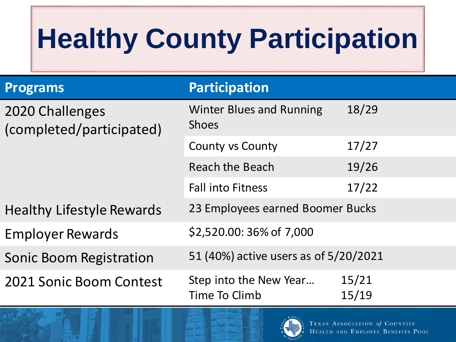# **Healthy County Participation**

| <b>Programs</b>                             | <b>Participation</b>                            |                |
|---------------------------------------------|-------------------------------------------------|----------------|
| 2020 Challenges<br>(completed/participated) | <b>Winter Blues and Running</b><br><b>Shoes</b> | 18/29          |
|                                             | <b>County vs County</b>                         | 17/27          |
|                                             | <b>Reach the Beach</b>                          | 19/26          |
|                                             | <b>Fall into Fitness</b>                        | 17/22          |
| <b>Healthy Lifestyle Rewards</b>            | 23 Employees earned Boomer Bucks                |                |
| <b>Employer Rewards</b>                     | \$2,520.00: 36% of 7,000                        |                |
| <b>Sonic Boom Registration</b>              | 51 (40%) active users as of 5/20/2021           |                |
| 2021 Sonic Boom Contest                     | Step into the New Year<br>Time To Climb         | 15/21<br>15/19 |

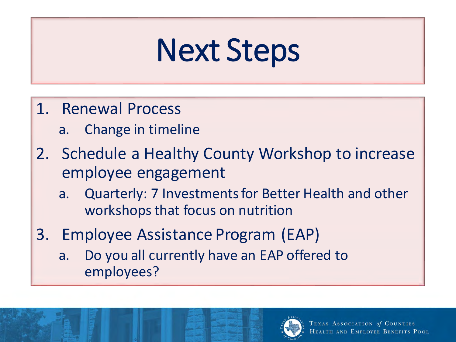# Next Steps

- 1. Renewal Process
	- a. Change in timeline
- 2. Schedule a Healthy County Workshop to increase employee engagement
	- a. Quarterly: 7 Investments for Better Health and other workshops that focus on nutrition
- 3. Employee Assistance Program (EAP)
	- a. Do you all currently have an EAP offered to employees?